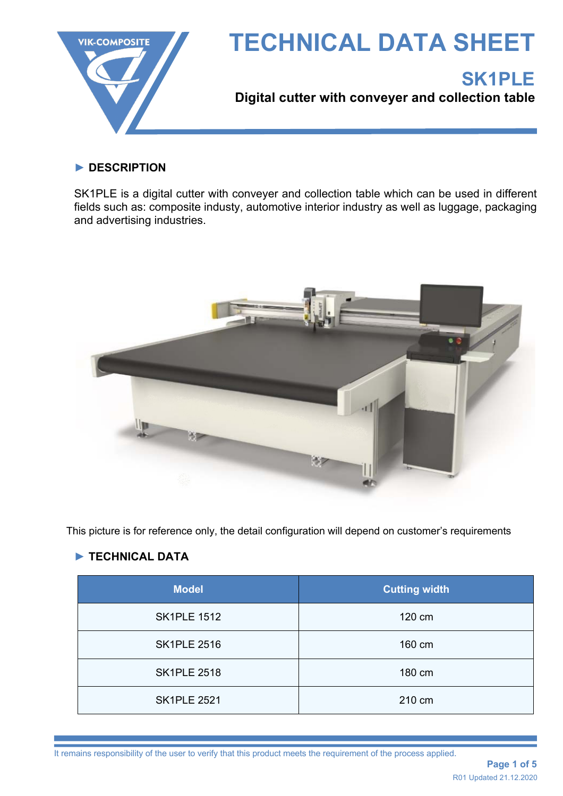

### **► DESCRIPTION**

SK1PLE is a digital cutter with conveyer and collection table which can be used in different fields such as: composite industy, automotive interior industry as well as luggage, packaging and advertising industries.



This picture is for reference only, the detail configuration will depend on customer's requirements

# **► TECHNICAL DATA**

| <b>Model</b>       | <b>Cutting width</b> |  |
|--------------------|----------------------|--|
| <b>SK1PLE 1512</b> | 120 cm               |  |
| <b>SK1PLE 2516</b> | 160 cm               |  |
| <b>SK1PLE 2518</b> | 180 cm               |  |
| <b>SK1PLE 2521</b> | 210 cm               |  |

It remains responsibility of the user to verify that this product meets the requirement of the process applied.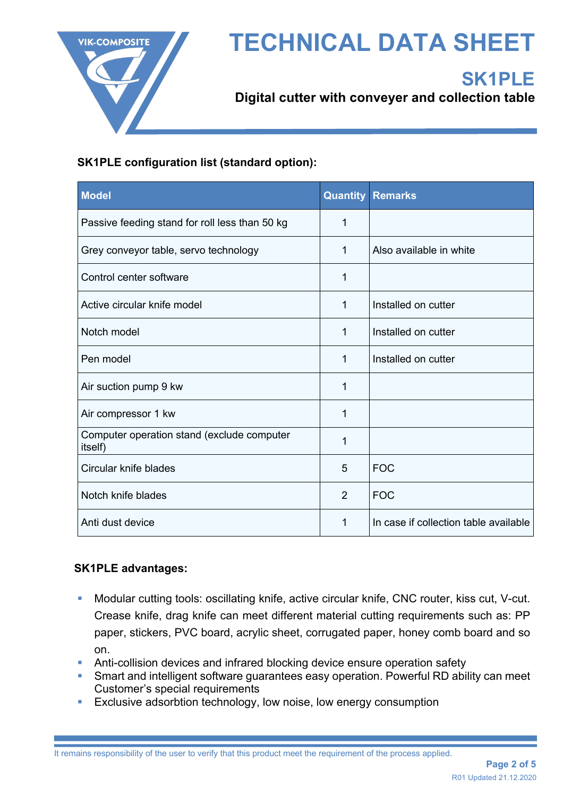

# **TECHNICAL DATA SHEET**



**Digital cutter with conveyer and collection table**

## **SK1PLE configuration list (standard option):**

| <b>Model</b>                                          | <b>Quantity</b> | <b>Remarks</b>                        |
|-------------------------------------------------------|-----------------|---------------------------------------|
| Passive feeding stand for roll less than 50 kg        | 1               |                                       |
| Grey conveyor table, servo technology                 | 1               | Also available in white               |
| Control center software                               | 1               |                                       |
| Active circular knife model                           | 1               | Installed on cutter                   |
| Notch model                                           | 1               | Installed on cutter                   |
| Pen model                                             | 1               | Installed on cutter                   |
| Air suction pump 9 kw                                 | 1               |                                       |
| Air compressor 1 kw                                   | 1               |                                       |
| Computer operation stand (exclude computer<br>itself) | 1               |                                       |
| Circular knife blades                                 | 5               | <b>FOC</b>                            |
| Notch knife blades                                    | $\overline{2}$  | <b>FOC</b>                            |
| Anti dust device                                      | 1               | In case if collection table available |

### **SK1PLE advantages:**

- Modular cutting tools: oscillating knife, active circular knife, CNC router, kiss cut, V-cut. Crease knife, drag knife can meet different material cutting requirements such as: PP paper, stickers, PVC board, acrylic sheet, corrugated paper, honey comb board and so on.
- **Anti-collision devices and infrared blocking device ensure operation safety**
- Smart and intelligent software guarantees easy operation. Powerful RD ability can meet Customer's special requirements
- **Exclusive adsorbtion technology, low noise, low energy consumption**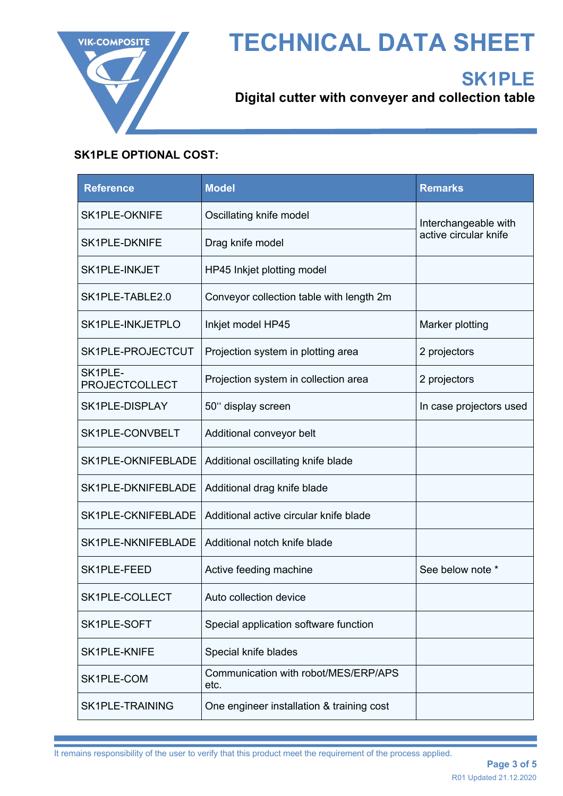

# **TECHNICAL DATA SHEET**

# **SK1PLE**

**Digital cutter with conveyer and collection table**

# **SK1PLE OPTIONAL COST:**

| <b>Reference</b>                 | <b>Model</b>                                 | <b>Remarks</b>                                |  |
|----------------------------------|----------------------------------------------|-----------------------------------------------|--|
| <b>SK1PLE-OKNIFE</b>             | Oscillating knife model                      | Interchangeable with<br>active circular knife |  |
| <b>SK1PLE-DKNIFE</b>             | Drag knife model                             |                                               |  |
| <b>SK1PLE-INKJET</b>             | HP45 Inkjet plotting model                   |                                               |  |
| SK1PLE-TABLE2.0                  | Conveyor collection table with length 2m     |                                               |  |
| SK1PLE-INKJETPLO                 | Inkjet model HP45                            | Marker plotting                               |  |
| SK1PLE-PROJECTCUT                | Projection system in plotting area           | 2 projectors                                  |  |
| SK1PLE-<br><b>PROJECTCOLLECT</b> | Projection system in collection area         | 2 projectors                                  |  |
| SK1PLE-DISPLAY                   | 50" display screen                           | In case projectors used                       |  |
| SK1PLE-CONVBELT                  | Additional conveyor belt                     |                                               |  |
| SK1PLE-OKNIFEBLADE               | Additional oscillating knife blade           |                                               |  |
| SK1PLE-DKNIFEBLADE               | Additional drag knife blade                  |                                               |  |
| SK1PLE-CKNIFEBLADE               | Additional active circular knife blade       |                                               |  |
| SK1PLE-NKNIFEBLADE               | Additional notch knife blade                 |                                               |  |
| SK1PLE-FEED                      | Active feeding machine                       | See below note *                              |  |
| SK1PLE-COLLECT                   | Auto collection device                       |                                               |  |
| SK1PLE-SOFT                      | Special application software function        |                                               |  |
| SK1PLE-KNIFE                     | Special knife blades                         |                                               |  |
| SK1PLE-COM                       | Communication with robot/MES/ERP/APS<br>etc. |                                               |  |
| <b>SK1PLE-TRAINING</b>           | One engineer installation & training cost    |                                               |  |

It remains responsibility of the user to verify that this product meet the requirement of the process applied.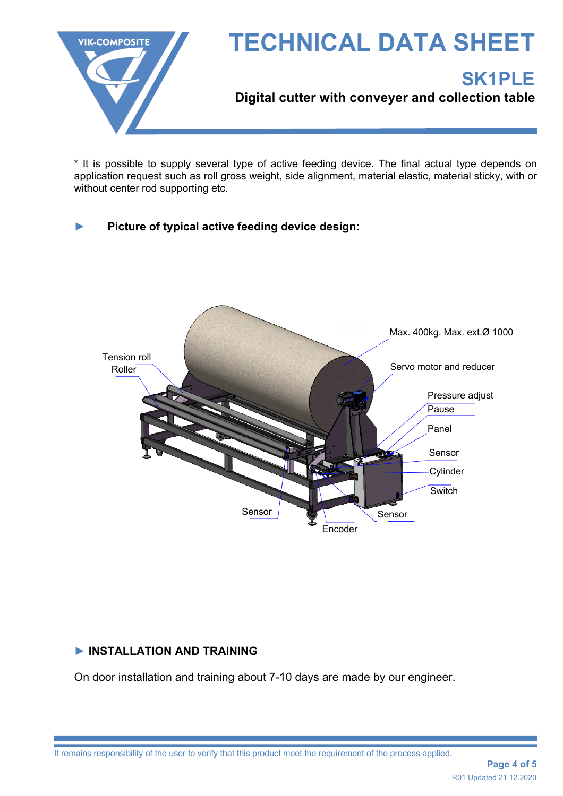

\* It is possible to supply several type of active feeding device. The final actual type depends on application request such as roll gross weight, side alignment, material elastic, material sticky, with or without center rod supporting etc.

## **► Picture of typical active feeding device design:**



### **► INSTALLATION AND TRAINING**

On door installation and training about 7-10 days are made by our engineer.

It remains responsibility of the user to verify that this product meet the requirement of the process applied.

**Page 4 of 5** R01 Updated 21.12.2020